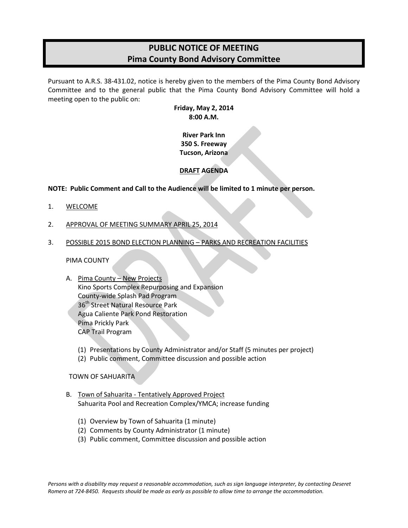# **PUBLIC NOTICE OF MEETING Pima County Bond Advisory Committee**

Pursuant to A.R.S. 38-431.02, notice is hereby given to the members of the Pima County Bond Advisory Committee and to the general public that the Pima County Bond Advisory Committee will hold a meeting open to the public on:

> **Friday, May 2, 2014 8:00 A.M.**

**River Park Inn 350 S. Freeway Tucson, Arizona**

# **DRAFT AGENDA**

## **NOTE: Public Comment and Call to the Audience will be limited to 1 minute per person.**

- 1. WELCOME
- 2. APPROVAL OF MEETING SUMMARY APRIL 25, 2014
- 3. POSSIBLE 2015 BOND ELECTION PLANNING PARKS AND RECREATION FACILITIES

### PIMA COUNTY

- A. Pima County New Projects Kino Sports Complex Repurposing and Expansion County-wide Splash Pad Program 36<sup>th</sup> Street Natural Resource Park Agua Caliente Park Pond Restoration Pima Prickly Park CAP Trail Program
	- (1) Presentations by County Administrator and/or Staff (5 minutes per project)
	- (2) Public comment, Committee discussion and possible action

TOWN OF SAHUARITA

- B. Town of Sahuarita Tentatively Approved Project Sahuarita Pool and Recreation Complex/YMCA; increase funding
	- (1) Overview by Town of Sahuarita (1 minute)
	- (2) Comments by County Administrator (1 minute)
	- (3) Public comment, Committee discussion and possible action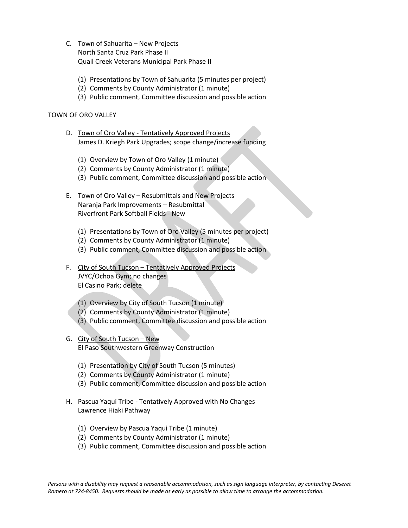- C. Town of Sahuarita New Projects North Santa Cruz Park Phase II Quail Creek Veterans Municipal Park Phase II
	- (1) Presentations by Town of Sahuarita (5 minutes per project)
	- (2) Comments by County Administrator (1 minute)
	- (3) Public comment, Committee discussion and possible action

### TOWN OF ORO VALLEY

- D. Town of Oro Valley Tentatively Approved Projects James D. Kriegh Park Upgrades; scope change/increase funding
	- (1) Overview by Town of Oro Valley (1 minute)
	- (2) Comments by County Administrator (1 minute)
	- (3) Public comment, Committee discussion and possible action
- E. Town of Oro Valley Resubmittals and New Projects Naranja Park Improvements – Resubmittal Riverfront Park Softball Fields - New
	- (1) Presentations by Town of Oro Valley (5 minutes per project)
	- (2) Comments by County Administrator (1 minute)
	- (3) Public comment, Committee discussion and possible action
- F. City of South Tucson Tentatively Approved Projects JVYC/Ochoa Gym; no changes El Casino Park; delete
	- (1) Overview by City of South Tucson (1 minute)
	- (2) Comments by County Administrator (1 minute)
	- (3) Public comment, Committee discussion and possible action
- G. City of South Tucson New El Paso Southwestern Greenway Construction
	- (1) Presentation by City of South Tucson (5 minutes)
	- (2) Comments by County Administrator (1 minute)
	- (3) Public comment, Committee discussion and possible action
- H. Pascua Yaqui Tribe Tentatively Approved with No Changes Lawrence Hiaki Pathway
	- (1) Overview by Pascua Yaqui Tribe (1 minute)
	- (2) Comments by County Administrator (1 minute)
	- (3) Public comment, Committee discussion and possible action